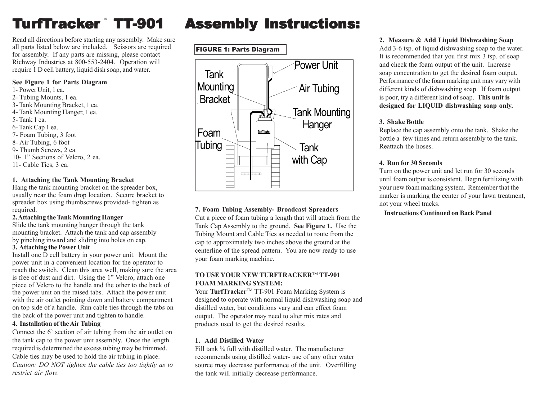# **TurfTrac**

Read all directions before starting any assembly. Make sure all parts listed below are included. Scissors are required for assembly. If any parts are missing, please contact Richway Industries at 800-553-2404. Operation will require 1 D cell battery, liquid dish soap, and water.

#### **See Figure 1 for Parts Diagram**

1- Power Unit, 1 ea. 2- Tubing Mounts, 1 ea. 3- Tank Mounting Bracket, 1 ea. 4- Tank Mounting Hanger, 1 ea. 5- Tank 1 ea. 6- Tank Cap 1 ea. 7- Foam Tubing, 3 foot 8- Air Tubing, 6 foot 9- Thumb Screws, 2 ea. 10- 1" Sections of Velcro, 2 ea. 11- Cable Ties, 3 ea.

## **1. Attaching the Tank Mounting Bracket**

Hang the tank mounting bracket on the spreader box, usually near the foam drop location. Secure bracket to spreader box using thumbscrews provided- tighten as required.

#### **2. Attaching the Tank Mounting Hanger**

Slide the tank mounting hanger through the tank mounting bracket. Attach the tank and cap assembly by pinching inward and sliding into holes on cap.

#### **3. Attaching the Power Unit**

Install one D cell battery in your power unit. Mount the power unit in a convenient location for the operator to reach the switch. Clean this area well, making sure the area is free of dust and dirt. Using the 1" Velcro, attach one piece of Velcro to the handle and the other to the back of the power unit on the raised tabs. Attach the power unit with the air outlet pointing down and battery compartment on top side of a handle. Run cable ties through the tabs on the back of the power unit and tighten to handle.

### **4. Installation of the Air Tubing**

Connect the 6' section of air tubing from the air outlet on the tank cap to the power unit assembly. Once the length required is determined the excess tubing may be trimmed. Cable ties may be used to hold the air tubing in place. *Caution: DO NOT tighten the cable ties too tightly as to restrict air flow.*

## Assembly Instructions:



## **7. Foam Tubing Assembly- Broadcast Spreaders**

Cut a piece of foam tubing a length that will attach from the Tank Cap Assembly to the ground. **See Figure 1.** Use the Tubing Mount and Cable Ties as needed to route from the cap to approximately two inches above the ground at the centerline of the spread pattern. You are now ready to use your foam marking machine.

## **TO USE YOUR NEW TURFTRACKER**TM **TT-901 FOAM MARKING SYSTEM:**

Your **TurfTracker<sup>™</sup> TT-901 Foam Marking System is** designed to operate with normal liquid dishwashing soap and distilled water, but conditions vary and can effect foam output. The operator may need to alter mix rates and products used to get the desired results.

### **1. Add Distilled Water**

Fill tank <sup>3</sup>/<sub>4</sub> full with distilled water. The manufacturer recommends using distilled water- use of any other water source may decrease performance of the unit. Overfilling the tank will initially decrease performance.

## **2. Measure & Add Liquid Dishwashing Soap**

Add 3-6 tsp. of liquid dishwashing soap to the water. It is recommended that you first mix 3 tsp. of soap and check the foam output of the unit. Increase soap concentration to get the desired foam output. Performance of the foam marking unit may vary with different kinds of dishwashing soap. If foam output is poor, try a different kind of soap. **This unit is designed for LIQUID dishwashing soap only.**

## **3. Shake Bottle**

Replace the cap assembly onto the tank. Shake the bottle a few times and return assembly to the tank. Reattach the hoses.

## **4. Run for 30 Seconds**

Turn on the power unit and let run for 30 seconds until foam output is consistent. Begin fertilizing with your new foam marking system. Remember that the marker is marking the center of your lawn treatment, not your wheel tracks.

 **Instructions Continued on Back Panel**